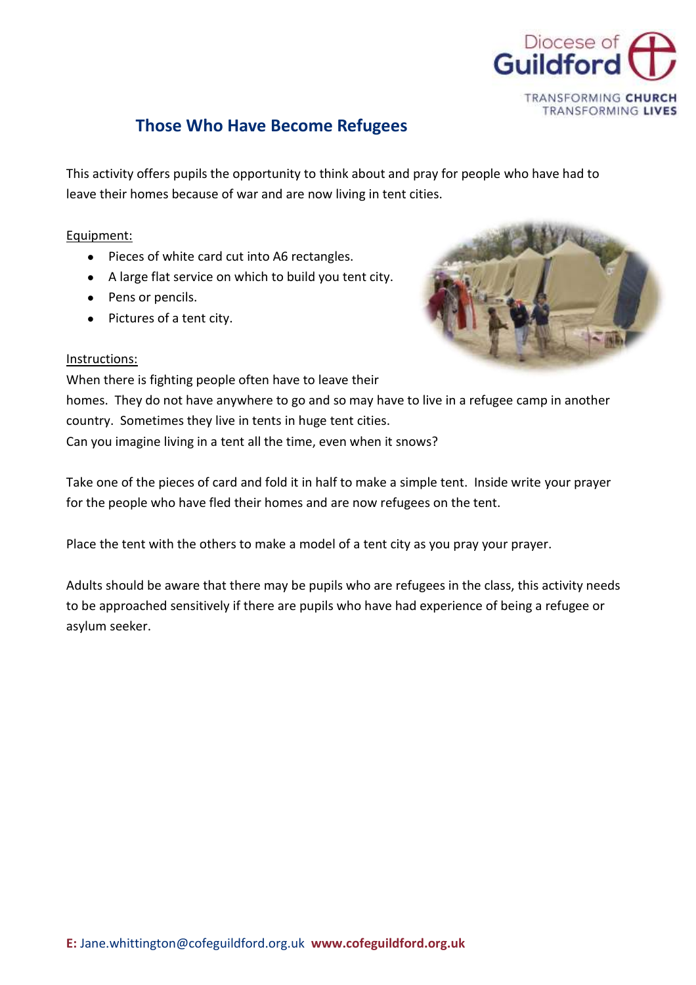

## **Those Who Have Become Refugees**

This activity offers pupils the opportunity to think about and pray for people who have had to leave their homes because of war and are now living in tent cities.

## Equipment:

- Pieces of white card cut into A6 rectangles.
- A large flat service on which to build you tent city.
- Pens or pencils.
- Pictures of a tent city.



## Instructions:

When there is fighting people often have to leave their homes. They do not have anywhere to go and so may have to live in a refugee camp in another country. Sometimes they live in tents in huge tent cities. Can you imagine living in a tent all the time, even when it snows?

Take one of the pieces of card and fold it in half to make a simple tent. Inside write your prayer for the people who have fled their homes and are now refugees on the tent.

Place the tent with the others to make a model of a tent city as you pray your prayer.

Adults should be aware that there may be pupils who are refugees in the class, this activity needs to be approached sensitively if there are pupils who have had experience of being a refugee or asylum seeker.